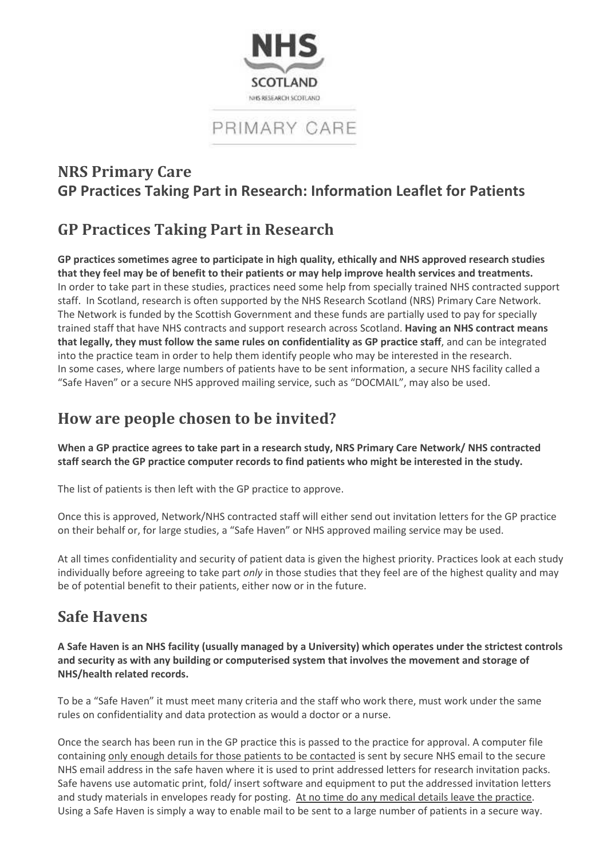

# PRIMARY CARE

### **NRS Primary Care GP Practices Taking Part in Research: Information Leaflet for Patients**

## **GP Practices Taking Part in Research**

**GP practices sometimes agree to participate in high quality, ethically and NHS approved research studies that they feel may be of benefit to their patients or may help improve health services and treatments.**  In order to take part in these studies, practices need some help from specially trained NHS contracted support staff. In Scotland, research is often supported by the NHS Research Scotland (NRS) Primary Care Network. The Network is funded by the Scottish Government and these funds are partially used to pay for specially trained staff that have NHS contracts and support research across Scotland. **Having an NHS contract means that legally, they must follow the same rules on confidentiality as GP practice staff**, and can be integrated into the practice team in order to help them identify people who may be interested in the research. In some cases, where large numbers of patients have to be sent information, a secure NHS facility called a "Safe Haven" or a secure NHS approved mailing service, such as "DOCMAIL", may also be used.

## **How are people chosen to be invited?**

**When a GP practice agrees to take part in a research study, NRS Primary Care Network/ NHS contracted staff search the GP practice computer records to find patients who might be interested in the study.** 

The list of patients is then left with the GP practice to approve.

Once this is approved, Network/NHS contracted staff will either send out invitation letters for the GP practice on their behalf or, for large studies, a "Safe Haven" or NHS approved mailing service may be used.

At all times confidentiality and security of patient data is given the highest priority. Practices look at each study individually before agreeing to take part *only* in those studies that they feel are of the highest quality and may be of potential benefit to their patients, either now or in the future.

### **Safe Havens**

**A Safe Haven is an NHS facility (usually managed by a University) which operates under the strictest controls and security as with any building or computerised system that involves the movement and storage of NHS/health related records.**

To be a "Safe Haven" it must meet many criteria and the staff who work there, must work under the same rules on confidentiality and data protection as would a doctor or a nurse.

Once the search has been run in the GP practice this is passed to the practice for approval. A computer file containing only enough details for those patients to be contacted is sent by secure NHS email to the secure NHS email address in the safe haven where it is used to print addressed letters for research invitation packs. Safe havens use automatic print, fold/ insert software and equipment to put the addressed invitation letters and study materials in envelopes ready for posting. At no time do any medical details leave the practice. Using a Safe Haven is simply a way to enable mail to be sent to a large number of patients in a secure way.